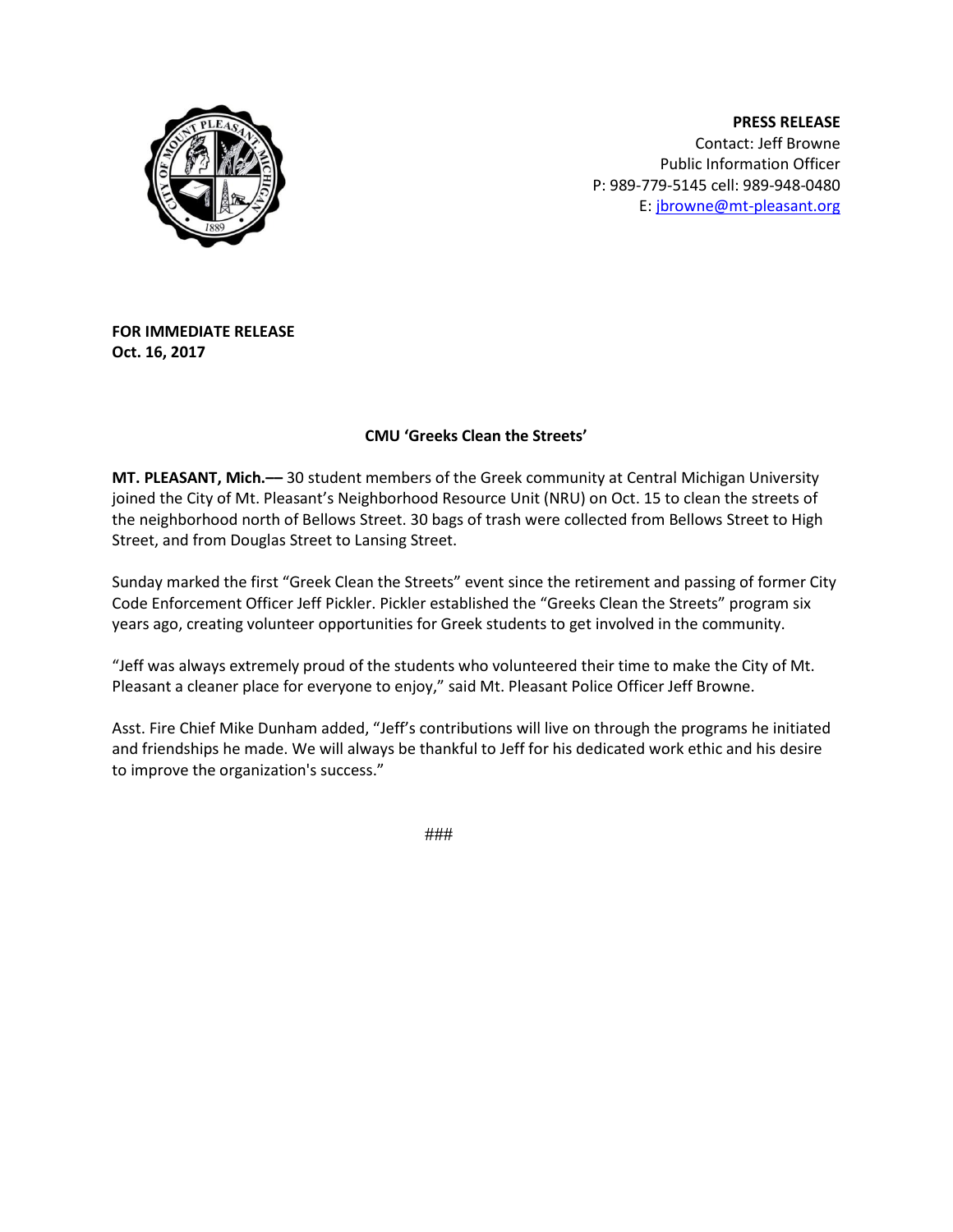

**PRESS RELEASE** Contact: Jeff Browne Public Information Officer P: 989-779-5145 cell: 989-948-0480 E: [jbrowne@mt-pleasant.org](mailto:jbrowne@mt-pleasant.org)

**FOR IMMEDIATE RELEASE Oct. 16, 2017**

## **CMU 'Greeks Clean the Streets'**

**MT. PLEASANT, Mich.––** 30 student members of the Greek community at Central Michigan University joined the City of Mt. Pleasant's Neighborhood Resource Unit (NRU) on Oct. 15 to clean the streets of the neighborhood north of Bellows Street. 30 bags of trash were collected from Bellows Street to High Street, and from Douglas Street to Lansing Street.

Sunday marked the first "Greek Clean the Streets" event since the retirement and passing of former City Code Enforcement Officer Jeff Pickler. Pickler established the "Greeks Clean the Streets" program six years ago, creating volunteer opportunities for Greek students to get involved in the community.

"Jeff was always extremely proud of the students who volunteered their time to make the City of Mt. Pleasant a cleaner place for everyone to enjoy," said Mt. Pleasant Police Officer Jeff Browne.

Asst. Fire Chief Mike Dunham added, "Jeff's contributions will live on through the programs he initiated and friendships he made. We will always be thankful to Jeff for his dedicated work ethic and his desire to improve the organization's success."

###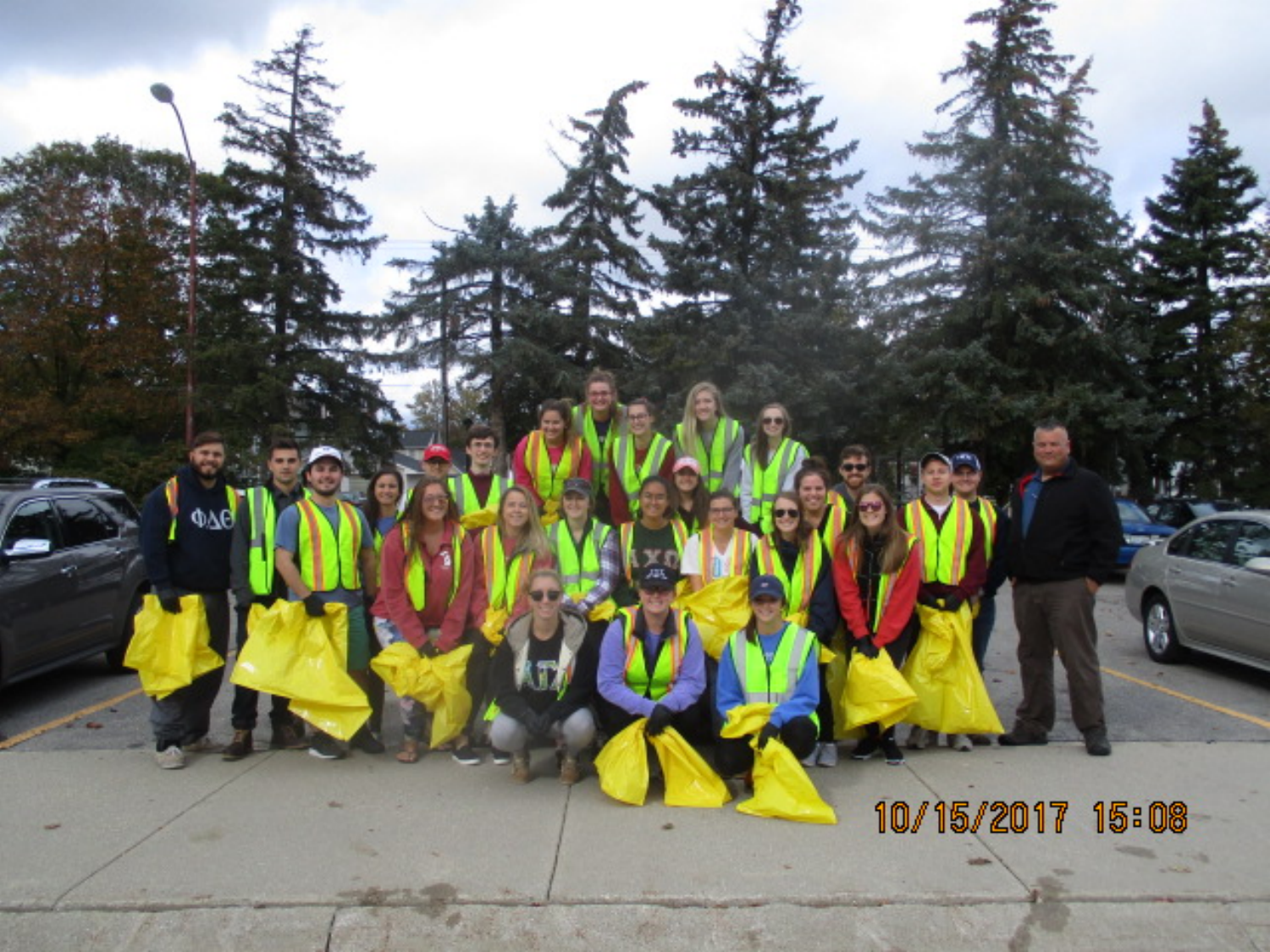## **DAG** 10/15/2017 15:08